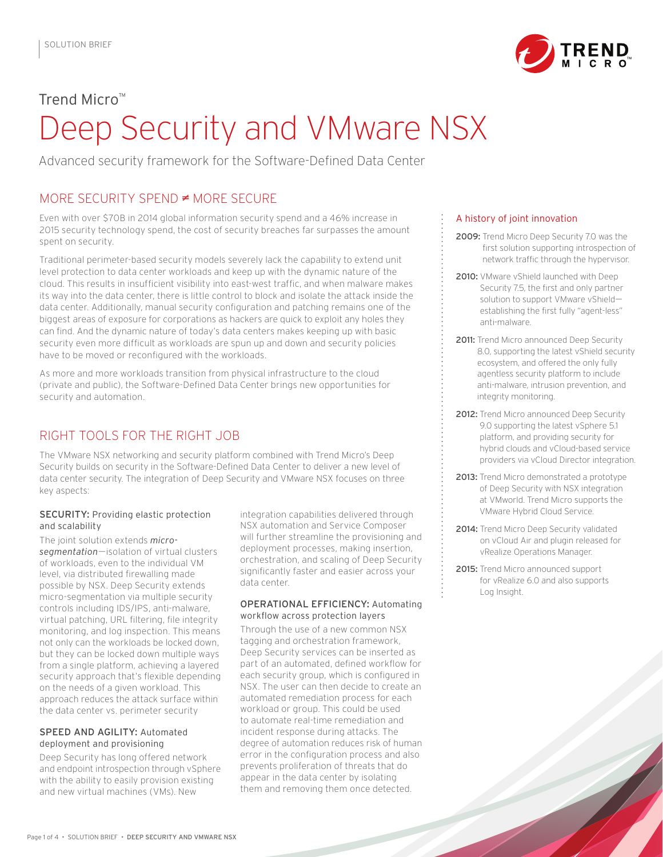

# Trend Micro™ Deep Security and VMware NSX

Advanced security framework for the Software-Defined Data Center

## MORE SECURITY SPEND  $\neq$  MORE SECURE

Even with over \$70B in 2014 global information security spend and a 46% increase in 2015 security technology spend, the cost of security breaches far surpasses the amount spent on security.

Traditional perimeter-based security models severely lack the capability to extend unit level protection to data center workloads and keep up with the dynamic nature of the cloud. This results in insufficient visibility into east-west traffic, and when malware makes its way into the data center, there is little control to block and isolate the attack inside the data center. Additionally, manual security configuration and patching remains one of the biggest areas of exposure for corporations as hackers are quick to exploit any holes they can find. And the dynamic nature of today's data centers makes keeping up with basic security even more difficult as workloads are spun up and down and security policies have to be moved or reconfigured with the workloads.

As more and more workloads transition from physical infrastructure to the cloud (private and public), the Software-Defined Data Center brings new opportunities for security and automation.

# RIGHT TOOLS FOR THE RIGHT JOB

The VMware NSX networking and security platform combined with Trend Micro's Deep Security builds on security in the Software-Defined Data Center to deliver a new level of data center security. The integration of Deep Security and VMware NSX focuses on three key aspects:

#### **SECURITY: Providing elastic protection** and scalability

The joint solution extends microsegmentation-isolation of virtual clusters of workloads, even to the individual VM level, via distributed firewalling made possible by NSX. Deep Security extends micro-seamentation via multiple security

integration capabilities delivered through NSX automation and Service Composer will further streamline the provisioning and deployment processes, making insertion, orchestration, and scaling of Deep Security significantly faster and easier across your data center

#### A history of joint innovation

- 2009: Trend Micro Deep Security 7.0 was the first solution supporting introspection of network traffic through the hypervisor.
- 2010: VMware vShield launched with Deep Security 7.5, the first and only partner solution to support VMware vShieldestablishing the first fully "agent-less" anti-malware.
- 2011: Trend Micro announced Deep Security 8.0, supporting the latest vShield security ecosystem, and offered the only fully agentless security platform to include anti-malware, intrusion prevention, and integrity monitoring.
- 2012: Trend Micro announced Deep Security 9.0 supporting the latest vSphere 5.1 platform, and providing security for hybrid clouds and vCloud-based service providers via vCloud Director integration.
- 2013: Trend Micro demonstrated a prototype of Deep Security with NSX integration at VMworld. Trend Micro supports the VMware Hybrid Cloud Service.
- 2014: Trend Micro Deep Security validated on vCloud Air and plugin released for vRealize Operations Manager.
- 2015: Trend Micro announced support for yRealize 6.0 and also supports Log Insight.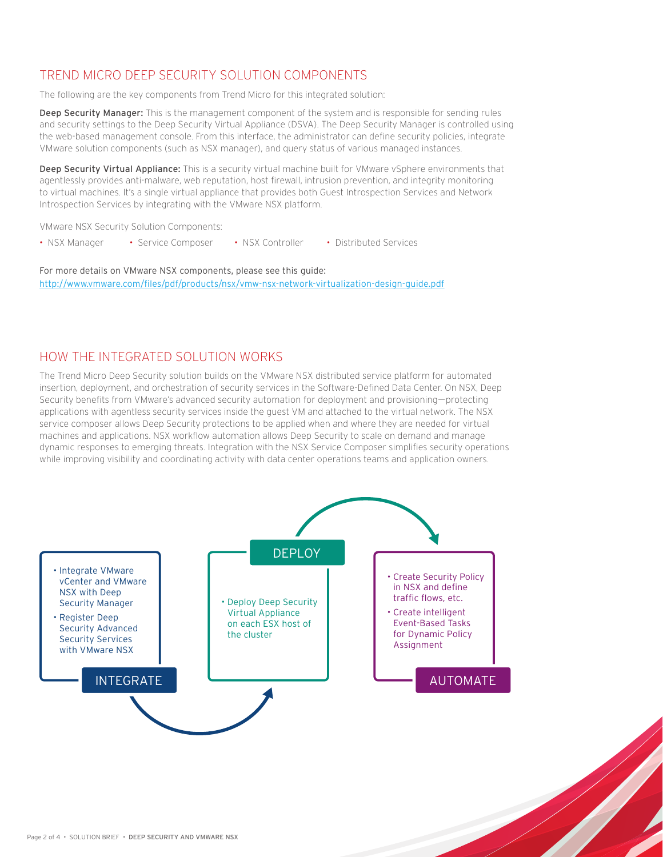## TREND MICRO DEEP SECURITY SOLUTION COMPONENTS

The following are the key components from Trend Micro for this integrated solution:

Deep Security Manager: This is the management component of the system and is responsible for sending rules and security settings to the Deep Security Virtual Appliance (DSVA). The Deep Security Manager is controlled using the web-based management console. From this interface, the administrator can define security policies, integrate VMware solution components (such as NSX manager), and query status of various managed instances.

Deep Security Virtual Appliance: This is a security virtual machine built for VMware vSphere environments that agentlessly provides anti-malware, web reputation, host firewall, intrusion prevention, and integrity monitoring to virtual machines. It's a single virtual appliance that provides both Guest Introspection Services and Network Introspection Services by integrating with the VMware NSX platform.

VMware NSX Security Solution Components:

• NSX Manager • Service Composer • NSX Controller · Distributed Services

For more details on VMware NSX components, please see this guide: http://www.vmware.com/files/pdf/products/nsx/vmw-nsx-network-virtualization-design-guide.pdf

### HOW THE INTEGRATED SOLUTION WORKS

The Trend Micro Deep Security solution builds on the VMware NSX distributed service platform for automated insertion, deployment, and orchestration of security services in the Software-Defined Data Center. On NSX, Deep Security benefits from VMware's advanced security automation for deployment and provisioning-protecting applications with agentless security services inside the guest VM and attached to the virtual network. The NSX service composer allows Deep Security protections to be applied when and where they are needed for virtual machines and applications. NSX workflow automation allows Deep Security to scale on demand and manage dynamic responses to emerging threats. Integration with the NSX Service Composer simplifies security operations while improving visibility and coordinating activity with data center operations teams and application owners.

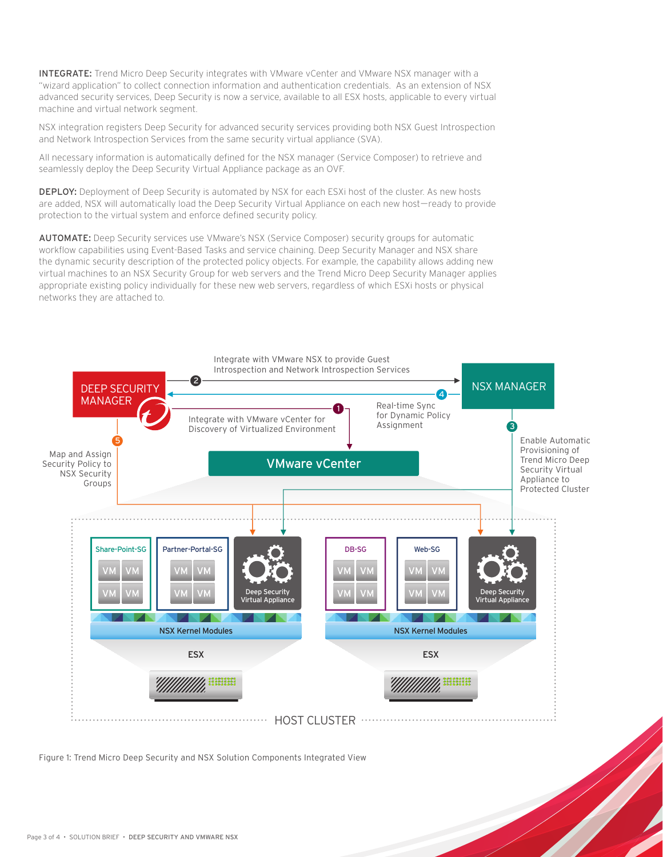**INTEGRATE:** Trend Micro Deep Security integrates with VMware vCenter and VMware NSX manager with a "wizard application" to collect connection information and authentication credentials. As an extension of NSX advanced security services. Deep Security is now a service, available to all ESX hosts, applicable to every virtual machine and virtual network segment.

NSX integration registers Deep Security for advanced security services providing both NSX Guest Introspection and Network Introspection Services from the same security virtual appliance (SVA).

All necessary information is automatically defined for the NSX manager (Service Composer) to retrieve and seamlessly deploy the Deep Security Virtual Appliance package as an OVF.

DEPLOY: Deployment of Deep Security is automated by NSX for each ESXi host of the cluster. As new hosts are added, NSX will automatically load the Deep Security Virtual Appliance on each new host-ready to provide protection to the virtual system and enforce defined security policy.

AUTOMATE: Deep Security services use VMware's NSX (Service Composer) security groups for automatic workflow capabilities using Event-Based Tasks and service chaining. Deep Security Manager and NSX share the dynamic security description of the protected policy objects. For example, the capability allows adding new virtual machines to an NSX Security Group for web servers and the Trend Micro Deep Security Manager applies appropriate existing policy individually for these new web servers, regardless of which ESXi hosts or physical networks they are attached to.



Figure 1: Trend Micro Deep Security and NSX Solution Components Integrated View